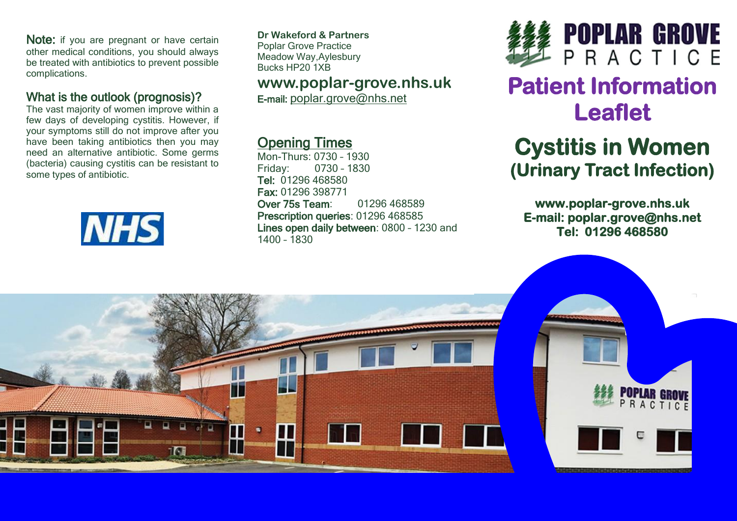Note: if you are pregnant or have certain other medical conditions, you should always be treated with antibiotics to prevent possible complications.

#### What is the outlook (prognosis)?

The vast majority of women improve within a few days of developing cystitis. However, if your symptoms still do not improve after you have been taking antibiotics then you may need an alternative antibiotic. Some germs (bacteria) causing cystitis can be resistant to some types of antibiotic.



**Dr Wakeford & Partners** Poplar Grove Practice Meadow Way,Aylesbury Bucks HP20 1XB

## **www.poplar-grove.nhs.uk**

E-mail: [poplar.grove@nhs.net](mailto:poplar.grove@nhs.net)

## Opening Times

Mon-Thurs: 0730 – 1930 Friday: 0730 – 1830 Tel: 01296 468580 Fax: 01296 398771 Over 75s Team: 01296 468589 Prescription queries: 01296 468585 Lines open daily between: 0800 – 1230 and 1400 – 1830



# **Patient Information Leaflet**

## **Cystitis in Women (Urinary Tract Infection)**

**www.poplar-grove.nhs.uk E-mail: poplar.grove@nhs.net Tel: 01296 468580**